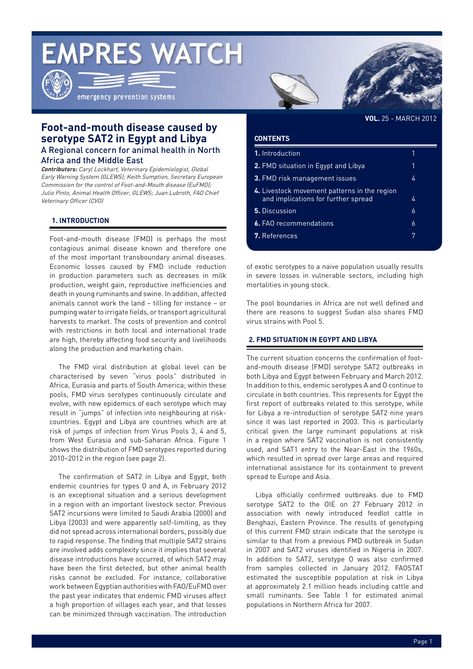# **EMPRES WATCH**



emergency prevention systems



**VOL.** 25 - MARCH 2012

## **Foot-and-mouth disease caused by serotype SAT2 in Egypt and Libya** A Regional concern for animal health in North

Africa and the Middle East

**Contributors:** Caryl Lockhart, Veterinary Epidemiologist, Global Early Warning System (GLEWS); Keith Sumption, Secretary European Commission for the control of Foot-and-Mouth disease (EuFMD); Julio Pinto, Animal Health Officer, GLEWS; Juan Lubroth, FAO Chief Veterinary Officer (CVO)

### **1. INTRODUCTION**

Foot-and-mouth disease (FMD) is perhaps the most contagious animal disease known and therefore one of the most important transboundary animal diseases. Economic losses caused by FMD include reduction in production parameters such as decreases in milk production, weight gain, reproductive inefficiencies and death in young ruminants and swine. In addition, affected animals cannot work the land – tilling for instance – or pumping water to irrigate fields, or transport agricultural harvests to market. The costs of prevention and control with restrictions in both local and international trade are high, thereby affecting food security and livelihoods along the production and marketing chain.

The FMD viral distribution at global level can be characterised by seven "virus pools" distributed in Africa, Eurasia and parts of South America; within these pools, FMD virus serotypes continuously circulate and evolve, with new epidemics of each serotype which may result in "jumps" of infection into neighbouring at riskcountries. Egypt and Libya are countries which are at risk of jumps of infection from Virus Pools 3, 4 and 5, from West Eurasia and sub-Saharan Africa. Figure 1 shows the distribution of FMD serotypes reported during 2010–2012 in the region (see page 2).

The confirmation of SAT2 in Libya and Egypt, both endemic countries for types O and A, in February 2012 is an exceptional situation and a serious development in a region with an important livestock sector. Previous SAT2 incursions were limited to Saudi Arabia (2000) and Libya (2003) and were apparently self-limiting, as they did not spread across international borders, possibly due to rapid response. The finding that multiple SAT2 strains are involved adds complexity since it implies that several disease introductions have occurred, of which SAT2 may have been the first detected, but other animal health risks cannot be excluded. For instance, collaborative work between Egyptian authorities with FAO/EuFMD over the past year indicates that endemic FMD viruses affect a high proportion of villages each year, and that losses can be minimized through vaccination. The introduction

#### **CONTENTS**

| 1. Introduction                                                                     |   |
|-------------------------------------------------------------------------------------|---|
| <b>2.</b> FMD situation in Egypt and Libya                                          | 1 |
| <b>3. FMD risk management issues</b>                                                | 4 |
| 4. Livestock movement patterns in the region<br>and implications for further spread | 4 |
| 5. Discussion                                                                       | 6 |
| <b>6.</b> FAO recommendations                                                       | 6 |
| 7. References                                                                       | 7 |

of exotic serotypes to a naive population usually results in severe losses in vulnerable sectors, including high mortalities in young stock.

The pool boundaries in Africa are not well defined and there are reasons to suggest Sudan also shares FMD virus strains with Pool 5.

#### **2. FMD SITUATION IN EGYPT AND LIBYA**

The current situation concerns the confirmation of footand-mouth disease (FMD) serotype SAT2 outbreaks in both Libya and Egypt between February and March 2012. In addition to this, endemic serotypes A and O continue to circulate in both countries. This represents for Egypt the first report of outbreaks related to this serotype, while for Libya a re-introduction of serotype SAT2 nine years since it was last reported in 2003. This is particularly critical given the large ruminant populations at risk in a region where SAT2 vaccination is not consistently used, and SAT1 entry to the Near-East in the 1960s, which resulted in spread over large areas and required international assistance for its containment to prevent spread to Europe and Asia.

Libya officially confirmed outbreaks due to FMD serotype SAT2 to the OIE on 27 February 2012 in association with newly introduced feedlot cattle in Benghazi, Eastern Province. The results of genotyping of this current FMD strain indicate that the serotype is similar to that from a previous FMD outbreak in Sudan in 2007 and SAT2 viruses identified in Nigeria in 2007. In addition to SAT2, serotype O was also confirmed from samples collected in January 2012. FAOSTAT estimated the susceptible population at risk in Libya at approximately 2.1 million heads including cattle and small ruminants. See Table 1 for estimated animal populations in Northern Africa for 2007.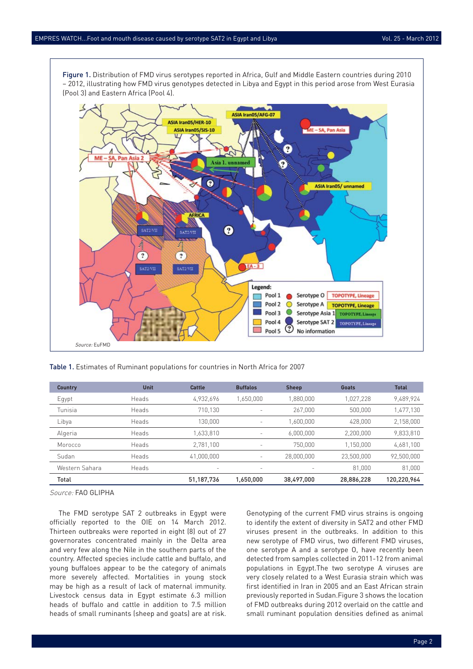Figure 1. Distribution of FMD virus serotypes reported in Africa, Gulf and Middle Eastern countries during 2010 – 2012, illustrating how FMD virus genotypes detected in Libya and Egypt in this period arose from West Eurasia (Pool 3) and Eastern Africa (Pool 4).



Table 1. Estimates of Ruminant populations for countries in North Africa for 2007

| <b>Country</b> | <b>Unit</b> | Cattle                   | <b>Buffalos</b>          | <b>Sheep</b>             | Goats      | <b>Total</b> |
|----------------|-------------|--------------------------|--------------------------|--------------------------|------------|--------------|
| Egypt          | Heads       | 4,932,696                | 1,650,000                | 1,880,000                | 1,027,228  | 9,489,924    |
| Tunisia        | Heads       | 710,130                  | $\overline{\phantom{a}}$ | 267,000                  | 500,000    | 1,477,130    |
| Libya          | Heads       | 130,000                  | $\equiv$                 | 1,600,000                | 428,000    | 2,158,000    |
| Algeria        | Heads       | 1,633,810                | $\overline{\phantom{a}}$ | 6,000,000                | 2,200,000  | 9,833,810    |
| Morocco        | Heads       | 2,781,100                | $\equiv$                 | 750,000                  | 1,150,000  | 4,681,100    |
| Sudan          | Heads       | 41,000,000               | $\overline{\phantom{a}}$ | 28,000,000               | 23,500,000 | 92,500,000   |
| Western Sahara | Heads       | $\overline{\phantom{a}}$ | $\overline{\phantom{a}}$ | $\overline{\phantom{a}}$ | 81,000     | 81,000       |
| Total          |             | 51,187,736               | 1,650,000                | 38,497,000               | 28,886,228 | 120,220,964  |

Source: FAO GLIPHA

The FMD serotype SAT 2 outbreaks in Egypt were officially reported to the OIE on 14 March 2012. Thirteen outbreaks were reported in eight (8) out of 27 governorates concentrated mainly in the Delta area and very few along the Nile in the southern parts of the country. Affected species include cattle and buffalo, and young buffaloes appear to be the category of animals more severely affected. Mortalities in young stock may be high as a result of lack of maternal immunity. Livestock census data in Egypt estimate 6.3 million heads of buffalo and cattle in addition to 7.5 million heads of small ruminants (sheep and goats) are at risk.

Genotyping of the current FMD virus strains is ongoing to identify the extent of diversity in SAT2 and other FMD viruses present in the outbreaks. In addition to this new serotype of FMD virus, two different FMD viruses, one serotype A and a serotype O, have recently been detected from samples collected in 2011-12 from animal populations in Egypt.The two serotype A viruses are very closely related to a West Eurasia strain which was first identified in Iran in 2005 and an East African strain previously reported in Sudan.Figure 3 shows the location of FMD outbreaks during 2012 overlaid on the cattle and small ruminant population densities defined as animal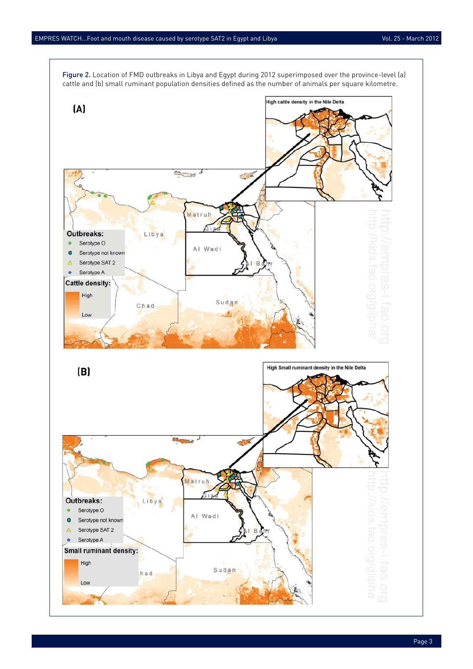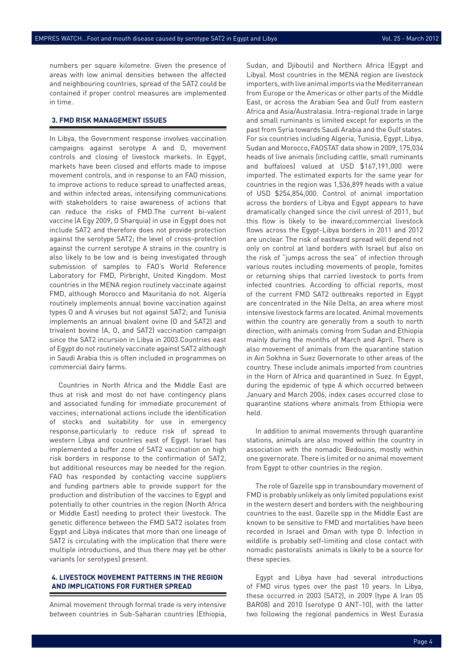numbers per square kilometre. Given the presence of areas with low animal densities between the affected and neighbouring countries, spread of the SAT2 could be contained if proper control measures are implemented in time.

#### **3. FMD RISK MANAGEMENT ISSUES**

In Libya, the Government response involves vaccination campaigns against serotype A and O, movement controls and closing of livestock markets. In Egypt, markets have been closed and efforts made to impose movement controls, and in response to an FAO mission, to improve actions to reduce spread to unaffected areas, and within infected areas, intensifying communications with stakeholders to raise awareness of actions that can reduce the risks of FMD.The current bi-valent vaccine (A Egy 2009, O Sharquia) in use in Egypt does not include SAT2 and therefore does not provide protection against the serotype SAT2; the level of cross-protection against the current serotype A strains in the country is also likely to be low and is being investigated through submission of samples to FAO's World Reference Laboratory for FMD, Pirbright, United Kingdom. Most countries in the MENA region routinely vaccinate against FMD, although Morocco and Mauritania do not. Algeria routinely implements annual bovine vaccination against types O and A viruses but not against SAT2; and Tunisia implements an annual bivalent ovine (O and SAT2) and trivalent bovine (A, O, and SAT2) vaccination campaign since the SAT2 incursion in Libya in 2003.Countries east of Egypt do not routinely vaccinate against SAT2 although in Saudi Arabia this is often included in programmes on commercial dairy farms.

Countries in North Africa and the Middle East are thus at risk and most do not have contingency plans and associated funding for immediate procurement of vaccines; international actions include the identification of stocks and suitability for use in emergency response,particularly to reduce risk of spread to western Libya and countries east of Egypt. Israel has implemented a buffer zone of SAT2 vaccination on high risk borders in response to the confirmation of SAT2, but additional resources may be needed for the region. FAO has responded by contacting vaccine suppliers and funding partners able to provide support for the production and distribution of the vaccines to Egypt and potentially to other countries in the region (North Africa or Middle East) needing to protect their livestock. The genetic difference between the FMD SAT2 isolates from Egypt and Libya indicates that more than one lineage of SAT2 is circulating with the implication that there were multiple introductions, and thus there may yet be other variants (or serotypes) present.

#### **4. LIVESTOCK MOVEMENT PATTERNS IN THE REGION AND IMPLICATIONS FOR FURTHER SPREAD**

Animal movement through formal trade is very intensive between countries in Sub-Saharan countries (Ethiopia, Sudan, and Djibouti) and Northern Africa (Egypt and Libya). Most countries in the MENA region are livestock importers, with live animal imports via the Mediterranean from Europe or the Americas or other parts of the Middle East, or across the Arabian Sea and Gulf from eastern Africa and Asia/Australasia. Intra-regional trade in large and small ruminants is limited except for exports in the past from Syria towards Saudi Arabia and the Gulf states. For six countries including Algeria, Tunisia, Egypt, Libya, Sudan and Morocco, FAOSTAT data show in 2009, 175,034 heads of live animals (including cattle, small ruminants and buffaloes) valued at USD \$167,191,000 were imported. The estimated exports for the same year for countries in the region was 1,536,899 heads with a value of USD \$254,854,000. Control of animal importation across the borders of Libya and Egypt appears to have dramatically changed since the civil unrest of 2011, but this flow is likely to be inward;commercial livestock flows across the Egypt-Libya borders in 2011 and 2012 are unclear. The risk of eastward spread will depend not only on control at land borders with Israel but also on the risk of "jumps across the sea" of infection through various routes including movements of people, fomites or returning ships that carried livestock to ports from infected countries. According to official reports, most of the current FMD SAT2 outbreaks reported in Egypt are concentrated in the Nile Delta, an area where most intensive livestock farms are located. Animal movements within the country are generally from a south to north direction, with animals coming from Sudan and Ethiopia mainly during the months of March and April. There is also movement of animals from the quarantine station in Ain Sokhna in Suez Governorate to other areas of the country. These include animals imported from countries in the Horn of Africa and quarantined in Suez. In Egypt, during the epidemic of type A which occurred between January and March 2006, index cases occurred close to quarantine stations where animals from Ethiopia were held.

In addition to animal movements through quarantine stations, animals are also moved within the country in association with the nomadic Bedouins, mostly within one governorate. There is limited or no animal movement from Egypt to other countries in the region.

The role of Gazelle spp in transboundary movement of FMD is probably unlikely as only limited populations exist in the western desert and borders with the neighbouring countries to the east. Gazelle spp in the Middle East are known to be sensitive to FMD and mortalities have been recorded in Israel and Oman with type O. Infection in wildlife is probably self-limiting and close contact with nomadic pastoralists' animals is likely to be a source for these species.

Egypt and Libya have had several introductions of FMD virus types over the past 10 years. In Libya, these occurred in 2003 (SAT2), in 2009 (type A Iran 05 BAR08) and 2010 (serotype O ANT-10), with the latter two following the regional pandemics in West Eurasia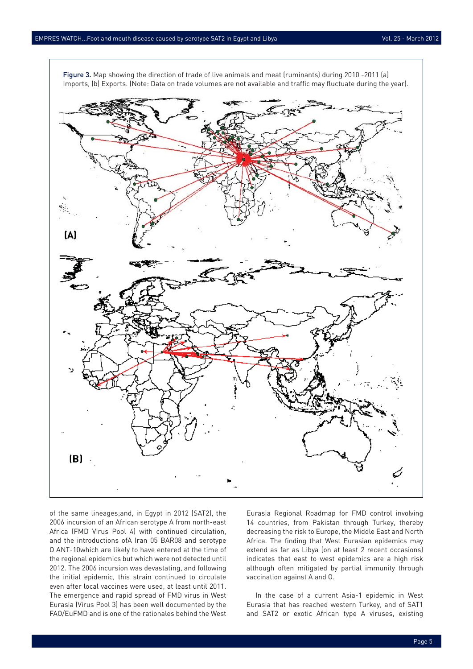

Figure 3. Map showing the direction of trade of live animals and meat (ruminants) during 2010 -2011 (a) Imports, (b) Exports. (Note: Data on trade volumes are not available and traffic may fluctuate during the year).

of the same lineages;and, in Egypt in 2012 (SAT2), the 2006 incursion of an African serotype A from north-east Africa (FMD Virus Pool 4) with continued circulation, and the introductions ofA Iran 05 BAR08 and serotype O ANT-10which are likely to have entered at the time of the regional epidemics but which were not detected until 2012. The 2006 incursion was devastating, and following the initial epidemic, this strain continued to circulate even after local vaccines were used, at least until 2011. The emergence and rapid spread of FMD virus in West Eurasia (Virus Pool 3) has been well documented by the FAO/EuFMD and is one of the rationales behind the West Eurasia Regional Roadmap for FMD control involving 14 countries, from Pakistan through Turkey, thereby decreasing the risk to Europe, the Middle East and North Africa. The finding that West Eurasian epidemics may extend as far as Libya (on at least 2 recent occasions) indicates that east to west epidemics are a high risk although often mitigated by partial immunity through vaccination against A and O.

In the case of a current Asia-1 epidemic in West Eurasia that has reached western Turkey, and of SAT1 and SAT2 or exotic African type A viruses, existing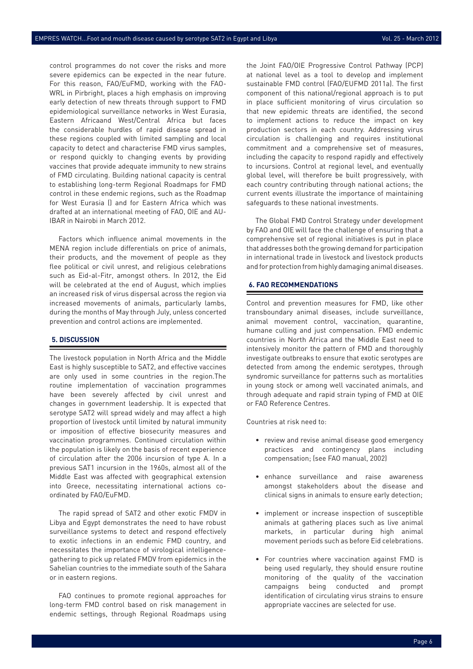control programmes do not cover the risks and more severe epidemics can be expected in the near future. For this reason, FAO/EuFMD, working with the FAO-WRL in Pirbright, places a high emphasis on improving early detection of new threats through support to FMD epidemiological surveillance networks in West Eurasia, Eastern Africaand West/Central Africa but faces the considerable hurdles of rapid disease spread in these regions coupled with limited sampling and local capacity to detect and characterise FMD virus samples, or respond quickly to changing events by providing vaccines that provide adequate immunity to new strains of FMD circulating. Building national capacity is central to establishing long-term Regional Roadmaps for FMD control in these endemic regions, such as the Roadmap for West Eurasia () and for Eastern Africa which was drafted at an international meeting of FAO, OIE and AU-IBAR in Nairobi in March 2012.

Factors which influence animal movements in the MENA region include differentials on price of animals, their products, and the movement of people as they flee political or civil unrest, and religious celebrations such as Eid-al-Fitr, amongst others. In 2012, the Eid will be celebrated at the end of August, which implies an increased risk of virus dispersal across the region via increased movements of animals, particularly lambs, during the months of May through July, unless concerted prevention and control actions are implemented.

#### **5. DISCUSSION**

The livestock population in North Africa and the Middle East is highly susceptible to SAT2, and effective vaccines are only used in some countries in the region.The routine implementation of vaccination programmes have been severely affected by civil unrest and changes in government leadership. It is expected that serotype SAT2 will spread widely and may affect a high proportion of livestock until limited by natural immunity or imposition of effective biosecurity measures and vaccination programmes. Continued circulation within the population is likely on the basis of recent experience of circulation after the 2006 incursion of type A. In a previous SAT1 incursion in the 1960s, almost all of the Middle East was affected with geographical extension into Greece, necessitating international actions coordinated by FAO/EuFMD.

The rapid spread of SAT2 and other exotic FMDV in Libya and Egypt demonstrates the need to have robust surveillance systems to detect and respond effectively to exotic infections in an endemic FMD country, and necessitates the importance of virological intelligencegathering to pick up related FMDV from epidemics in the Sahelian countries to the immediate south of the Sahara or in eastern regions.

FAO continues to promote regional approaches for long-term FMD control based on risk management in endemic settings, through Regional Roadmaps using

the Joint FAO/OIE Progressive Control Pathway (PCP) at national level as a tool to develop and implement sustainable FMD control (FAO/EUFMD 2011a). The first component of this national/regional approach is to put in place sufficient monitoring of virus circulation so that new epidemic threats are identified, the second to implement actions to reduce the impact on key production sectors in each country. Addressing virus circulation is challenging and requires institutional commitment and a comprehensive set of measures, including the capacity to respond rapidly and effectively to incursions. Control at regional level, and eventually global level, will therefore be built progressively, with each country contributing through national actions; the current events illustrate the importance of maintaining safeguards to these national investments.

The Global FMD Control Strategy under development by FAO and OIE will face the challenge of ensuring that a comprehensive set of regional initiatives is put in place that addresses both the growing demand for participation in international trade in livestock and livestock products and for protection from highly damaging animal diseases.

#### **6. FAO RECOMMENDATIONS**

Control and prevention measures for FMD, like other transboundary animal diseases, include surveillance, animal movement control, vaccination, quarantine, humane culling and just compensation. FMD endemic countries in North Africa and the Middle East need to intensively monitor the pattern of FMD and thoroughly investigate outbreaks to ensure that exotic serotypes are detected from among the endemic serotypes, through syndromic surveillance for patterns such as mortalities in young stock or among well vaccinated animals, and through adequate and rapid strain typing of FMD at OIE or FAO Reference Centres.

Countries at risk need to:

- review and revise animal disease good emergency practices and contingency plans including compensation; (see FAO manual, 2002)
- enhance surveillance and raise awareness amongst stakeholders about the disease and clinical signs in animals to ensure early detection;
- implement or increase inspection of susceptible animals at gathering places such as live animal markets, in particular during high animal movement periods such as before Eid celebrations.
- For countries where vaccination against FMD is being used regularly, they should ensure routine monitoring of the quality of the vaccination campaigns being conducted and prompt identification of circulating virus strains to ensure appropriate vaccines are selected for use.